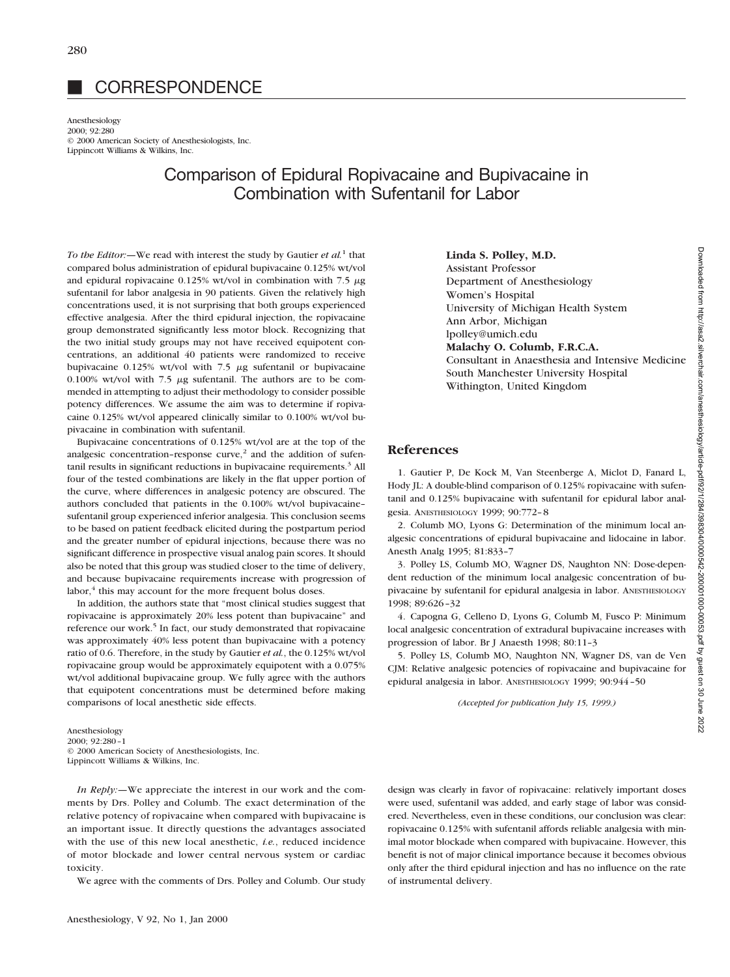Anesthesiology 2000; 92:280 © 2000 American Society of Anesthesiologists, Inc. Lippincott Williams & Wilkins, Inc.

# Comparison of Epidural Ropivacaine and Bupivacaine in Combination with Sufentanil for Labor

*To the Editor:—*We read with interest the study by Gautier *et al.*<sup>1</sup> that compared bolus administration of epidural bupivacaine 0.125% wt/vol and epidural ropivacaine 0.125% wt/vol in combination with 7.5  $\mu$ g sufentanil for labor analgesia in 90 patients. Given the relatively high concentrations used, it is not surprising that both groups experienced effective analgesia. After the third epidural injection, the ropivacaine group demonstrated significantly less motor block. Recognizing that the two initial study groups may not have received equipotent concentrations, an additional 40 patients were randomized to receive bupivacaine  $0.125\%$  wt/vol with 7.5  $\mu$ g sufentanil or bupivacaine 0.100% wt/vol with 7.5  $\mu$ g sufentanil. The authors are to be commended in attempting to adjust their methodology to consider possible potency differences. We assume the aim was to determine if ropivacaine 0.125% wt/vol appeared clinically similar to 0.100% wt/vol bupivacaine in combination with sufentanil.

Bupivacaine concentrations of 0.125% wt/vol are at the top of the analgesic concentration–response  $curve<sub>1</sub><sup>2</sup>$  and the addition of sufentanil results in significant reductions in bupivacaine requirements.<sup>3</sup> All four of the tested combinations are likely in the flat upper portion of the curve, where differences in analgesic potency are obscured. The authors concluded that patients in the 0.100% wt/vol bupivacaine– sufentanil group experienced inferior analgesia. This conclusion seems to be based on patient feedback elicited during the postpartum period and the greater number of epidural injections, because there was no significant difference in prospective visual analog pain scores. It should also be noted that this group was studied closer to the time of delivery, and because bupivacaine requirements increase with progression of labor, $<sup>4</sup>$  this may account for the more frequent bolus doses.</sup>

In addition, the authors state that "most clinical studies suggest that ropivacaine is approximately 20% less potent than bupivacaine" and reference our work.<sup>5</sup> In fact, our study demonstrated that ropivacaine was approximately 40% less potent than bupivacaine with a potency ratio of 0.6. Therefore, in the study by Gautier *et al.*, the 0.125% wt/vol ropivacaine group would be approximately equipotent with a 0.075% wt/vol additional bupivacaine group. We fully agree with the authors that equipotent concentrations must be determined before making comparisons of local anesthetic side effects.

Anesthesiology 2000; 92:280–1 © 2000 American Society of Anesthesiologists, Inc. Lippincott Williams & Wilkins, Inc.

*In Reply:—*We appreciate the interest in our work and the comments by Drs. Polley and Columb. The exact determination of the relative potency of ropivacaine when compared with bupivacaine is an important issue. It directly questions the advantages associated with the use of this new local anesthetic, *i.e.*, reduced incidence of motor blockade and lower central nervous system or cardiac toxicity.

We agree with the comments of Drs. Polley and Columb. Our study

**Linda S. Polley, M.D.** Assistant Professor Department of Anesthesiology Women's Hospital University of Michigan Health System Ann Arbor, Michigan lpolley@umich.edu **Malachy O. Columb, F.R.C.A.** Consultant in Anaesthesia and Intensive Medicine South Manchester University Hospital Withington, United Kingdom

## **References**

1. Gautier P, De Kock M, Van Steenberge A, Miclot D, Fanard L, Hody JL: A double-blind comparison of 0.125% ropivacaine with sufentanil and 0.125% bupivacaine with sufentanil for epidural labor analgesia. ANESTHESIOLOGY 1999; 90:772–8

2. Columb MO, Lyons G: Determination of the minimum local analgesic concentrations of epidural bupivacaine and lidocaine in labor. Anesth Analg 1995; 81:833–7

3. Polley LS, Columb MO, Wagner DS, Naughton NN: Dose-dependent reduction of the minimum local analgesic concentration of bupivacaine by sufentanil for epidural analgesia in labor. ANESTHESIOLOGY 1998; 89:626–32

4. Capogna G, Celleno D, Lyons G, Columb M, Fusco P: Minimum local analgesic concentration of extradural bupivacaine increases with progression of labor. Br J Anaesth 1998; 80:11–3

5. Polley LS, Columb MO, Naughton NN, Wagner DS, van de Ven CJM: Relative analgesic potencies of ropivacaine and bupivacaine for epidural analgesia in labor. ANESTHESIOLOGY 1999; 90:944–50

*(Accepted for publication July 15, 1999.)*

design was clearly in favor of ropivacaine: relatively important doses were used, sufentanil was added, and early stage of labor was considered. Nevertheless, even in these conditions, our conclusion was clear: ropivacaine 0.125% with sufentanil affords reliable analgesia with minimal motor blockade when compared with bupivacaine. However, this benefit is not of major clinical importance because it becomes obvious only after the third epidural injection and has no influence on the rate of instrumental delivery.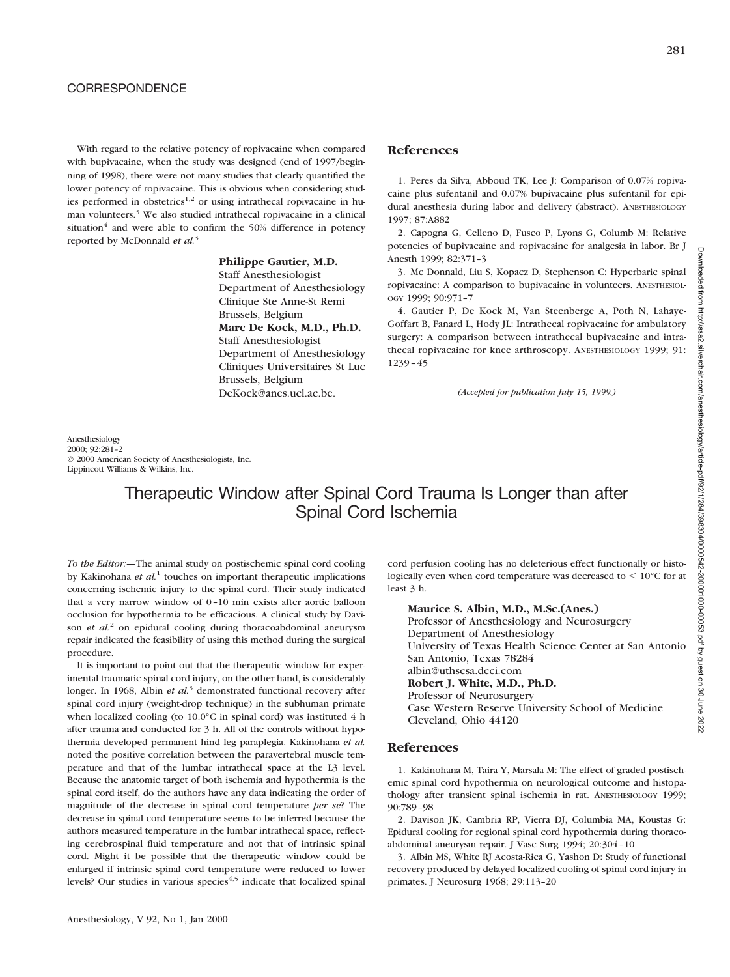With regard to the relative potency of ropivacaine when compared with bupivacaine, when the study was designed (end of 1997/beginning of 1998), there were not many studies that clearly quantified the lower potency of ropivacaine. This is obvious when considering studies performed in obstetrics<sup>1,2</sup> or using intrathecal ropivacaine in human volunteers.<sup>3</sup> We also studied intrathecal ropivacaine in a clinical situation $4$  and were able to confirm the 50% difference in potency reported by McDonnald *et al.*<sup>3</sup>

#### **Philippe Gautier, M.D.**

Staff Anesthesiologist Department of Anesthesiology Clinique Ste Anne-St Remi Brussels, Belgium **Marc De Kock, M.D., Ph.D.** Staff Anesthesiologist Department of Anesthesiology Cliniques Universitaires St Luc Brussels, Belgium DeKock@anes.ucl.ac.be.

# **References**

1. Peres da Silva, Abboud TK, Lee J: Comparison of 0.07% ropivacaine plus sufentanil and 0.07% bupivacaine plus sufentanil for epidural anesthesia during labor and delivery (abstract). ANESTHESIOLOGY 1997; 87:A882

2. Capogna G, Celleno D, Fusco P, Lyons G, Columb M: Relative potencies of bupivacaine and ropivacaine for analgesia in labor. Br J Anesth 1999; 82:371–3

3. Mc Donnald, Liu S, Kopacz D, Stephenson C: Hyperbaric spinal ropivacaine: A comparison to bupivacaine in volunteers. ANESTHESIOL-OGY 1999; 90:971–7

4. Gautier P, De Kock M, Van Steenberge A, Poth N, Lahaye-Goffart B, Fanard L, Hody JL: Intrathecal ropivacaine for ambulatory surgery: A comparison between intrathecal bupivacaine and intrathecal ropivacaine for knee arthroscopy. ANESTHESIOLOGY 1999; 91: 1239–45

*(Accepted for publication July 15, 1999.)*

Anesthesiology 2000; 92:281–2 © 2000 American Society of Anesthesiologists, Inc. Lippincott Williams & Wilkins, Inc.

# Therapeutic Window after Spinal Cord Trauma Is Longer than after Spinal Cord Ischemia

*To the Editor:—*The animal study on postischemic spinal cord cooling by Kakinohana *et al.*<sup>1</sup> touches on important therapeutic implications concerning ischemic injury to the spinal cord. Their study indicated that a very narrow window of 0–10 min exists after aortic balloon occlusion for hypothermia to be efficacious. A clinical study by Davison *et al.*<sup>2</sup> on epidural cooling during thoracoabdominal aneurysm repair indicated the feasibility of using this method during the surgical procedure.

It is important to point out that the therapeutic window for experimental traumatic spinal cord injury, on the other hand, is considerably longer. In 1968, Albin *et al.*<sup>3</sup> demonstrated functional recovery after spinal cord injury (weight-drop technique) in the subhuman primate when localized cooling (to 10.0°C in spinal cord) was instituted 4 h after trauma and conducted for 3 h. All of the controls without hypothermia developed permanent hind leg paraplegia. Kakinohana *et al.* noted the positive correlation between the paravertebral muscle temperature and that of the lumbar intrathecal space at the L3 level. Because the anatomic target of both ischemia and hypothermia is the spinal cord itself, do the authors have any data indicating the order of magnitude of the decrease in spinal cord temperature *per se*? The decrease in spinal cord temperature seems to be inferred because the authors measured temperature in the lumbar intrathecal space, reflecting cerebrospinal fluid temperature and not that of intrinsic spinal cord. Might it be possible that the therapeutic window could be enlarged if intrinsic spinal cord temperature were reduced to lower levels? Our studies in various species $4.5$  indicate that localized spinal

Anesthesiology, V 92, No 1, Jan 2000

cord perfusion cooling has no deleterious effect functionally or histologically even when cord temperature was decreased to  $\leq 10^{\circ}\mathrm{C}$  for at least 3 h.

**Maurice S. Albin, M.D., M.Sc.(Anes.)** Professor of Anesthesiology and Neurosurgery Department of Anesthesiology University of Texas Health Science Center at San Antonio San Antonio, Texas 78284 albin@uthscsa.dcci.com **Robert J. White, M.D., Ph.D.** Professor of Neurosurgery Case Western Reserve University School of Medicine Cleveland, Ohio 44120

#### **References**

1. Kakinohana M, Taira Y, Marsala M: The effect of graded postischemic spinal cord hypothermia on neurological outcome and histopathology after transient spinal ischemia in rat. ANESTHESIOLOGY 1999; 90:789–98

2. Davison JK, Cambria RP, Vierra DJ, Columbia MA, Koustas G: Epidural cooling for regional spinal cord hypothermia during thoracoabdominal aneurysm repair. J Vasc Surg 1994; 20:304–10

3. Albin MS, White RJ Acosta-Rica G, Yashon D: Study of functional recovery produced by delayed localized cooling of spinal cord injury in primates. J Neurosurg 1968; 29:113–20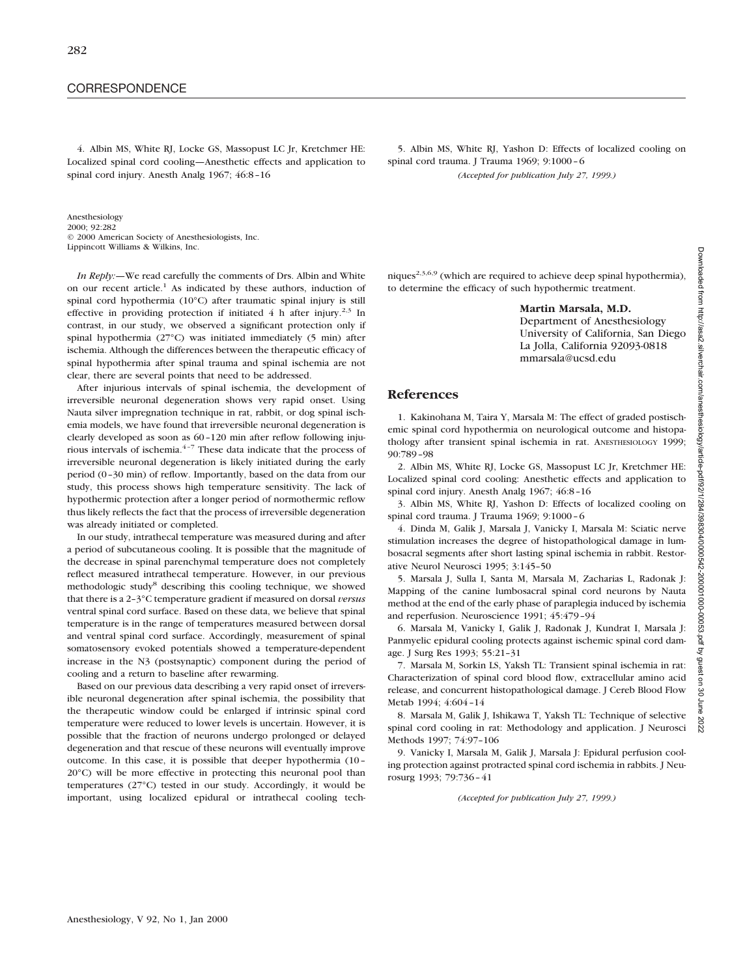4. Albin MS, White RJ, Locke GS, Massopust LC Jr, Kretchmer HE: Localized spinal cord cooling—Anesthetic effects and application to spinal cord injury. Anesth Analg 1967; 46:8–16

5. Albin MS, White RJ, Yashon D: Effects of localized cooling on spinal cord trauma. J Trauma 1969; 9:1000–6 *(Accepted for publication July 27, 1999.)*

Anesthesiology 2000; 92:282 © 2000 American Society of Anesthesiologists, Inc. Lippincott Williams & Wilkins, Inc.

*In Reply:—*We read carefully the comments of Drs. Albin and White on our recent article.<sup>1</sup> As indicated by these authors, induction of spinal cord hypothermia (10°C) after traumatic spinal injury is still effective in providing protection if initiated  $4$  h after injury.<sup>2,3</sup> In contrast, in our study, we observed a significant protection only if spinal hypothermia (27°C) was initiated immediately (5 min) after ischemia. Although the differences between the therapeutic efficacy of spinal hypothermia after spinal trauma and spinal ischemia are not clear, there are several points that need to be addressed.

After injurious intervals of spinal ischemia, the development of irreversible neuronal degeneration shows very rapid onset. Using Nauta silver impregnation technique in rat, rabbit, or dog spinal ischemia models, we have found that irreversible neuronal degeneration is clearly developed as soon as 60–120 min after reflow following injurious intervals of ischemia.4–7 These data indicate that the process of irreversible neuronal degeneration is likely initiated during the early period (0–30 min) of reflow. Importantly, based on the data from our study, this process shows high temperature sensitivity. The lack of hypothermic protection after a longer period of normothermic reflow thus likely reflects the fact that the process of irreversible degeneration was already initiated or completed.

In our study, intrathecal temperature was measured during and after a period of subcutaneous cooling. It is possible that the magnitude of the decrease in spinal parenchymal temperature does not completely reflect measured intrathecal temperature. However, in our previous methodologic study8 describing this cooling technique, we showed that there is a 2–3°C temperature gradient if measured on dorsal *versus* ventral spinal cord surface. Based on these data, we believe that spinal temperature is in the range of temperatures measured between dorsal and ventral spinal cord surface. Accordingly, measurement of spinal somatosensory evoked potentials showed a temperature-dependent increase in the N3 (postsynaptic) component during the period of cooling and a return to baseline after rewarming.

Based on our previous data describing a very rapid onset of irreversible neuronal degeneration after spinal ischemia, the possibility that the therapeutic window could be enlarged if intrinsic spinal cord temperature were reduced to lower levels is uncertain. However, it is possible that the fraction of neurons undergo prolonged or delayed degeneration and that rescue of these neurons will eventually improve outcome. In this case, it is possible that deeper hypothermia (10– 20°C) will be more effective in protecting this neuronal pool than temperatures (27°C) tested in our study. Accordingly, it would be important, using localized epidural or intrathecal cooling techniques<sup>2,3,6,9</sup> (which are required to achieve deep spinal hypothermia), to determine the efficacy of such hypothermic treatment.

> **Martin Marsala, M.D.** Department of Anesthesiology University of California, San Diego La Jolla, California 92093-0818

mmarsala@ucsd.edu

## **References**

1. Kakinohana M, Taira Y, Marsala M: The effect of graded postischemic spinal cord hypothermia on neurological outcome and histopathology after transient spinal ischemia in rat. ANESTHESIOLOGY 1999; 90:789–98

2. Albin MS, White RJ, Locke GS, Massopust LC Jr, Kretchmer HE: Localized spinal cord cooling: Anesthetic effects and application to spinal cord injury. Anesth Analg 1967; 46:8–16

3. Albin MS, White RJ, Yashon D: Effects of localized cooling on spinal cord trauma. J Trauma 1969; 9:1000–6

4. Dinda M, Galik J, Marsala J, Vanicky I, Marsala M: Sciatic nerve stimulation increases the degree of histopathological damage in lumbosacral segments after short lasting spinal ischemia in rabbit. Restorative Neurol Neurosci 1995; 3:145–50

5. Marsala J, Sulla I, Santa M, Marsala M, Zacharias L, Radonak J: Mapping of the canine lumbosacral spinal cord neurons by Nauta method at the end of the early phase of paraplegia induced by ischemia and reperfusion. Neuroscience 1991; 45:479–94

6. Marsala M, Vanicky I, Galik J, Radonak J, Kundrat I, Marsala J: Panmyelic epidural cooling protects against ischemic spinal cord damage. J Surg Res 1993; 55:21–31

7. Marsala M, Sorkin LS, Yaksh TL: Transient spinal ischemia in rat: Characterization of spinal cord blood flow, extracellular amino acid release, and concurrent histopathological damage. J Cereb Blood Flow Metab 1994; 4:604–14

8. Marsala M, Galik J, Ishikawa T, Yaksh TL: Technique of selective spinal cord cooling in rat: Methodology and application. J Neurosci Methods 1997; 74:97–106

9. Vanicky I, Marsala M, Galik J, Marsala J: Epidural perfusion cooling protection against protracted spinal cord ischemia in rabbits. J Neurosurg 1993; 79:736–41

*(Accepted for publication July 27, 1999.)*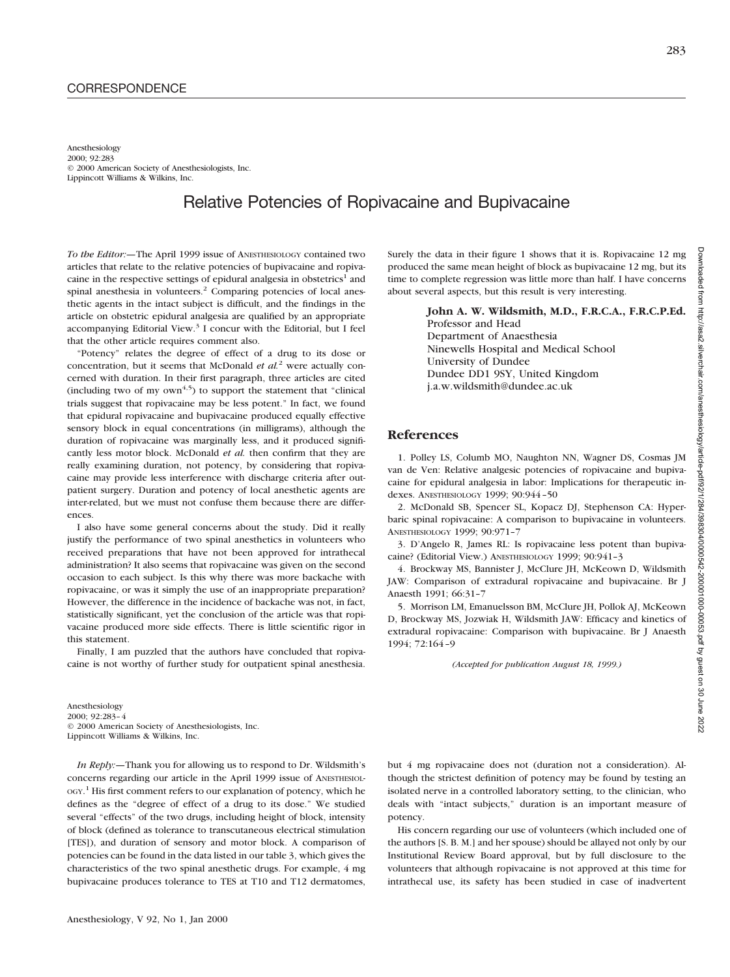Anesthesiology 2000; 92:283 © 2000 American Society of Anesthesiologists, Inc. Lippincott Williams & Wilkins, Inc.

# Relative Potencies of Ropivacaine and Bupivacaine

*To the Editor:—*The April 1999 issue of ANESTHESIOLOGY contained two articles that relate to the relative potencies of bupivacaine and ropivacaine in the respective settings of epidural analgesia in obstetrics<sup>1</sup> and spinal anesthesia in volunteers.<sup>2</sup> Comparing potencies of local anesthetic agents in the intact subject is difficult, and the findings in the article on obstetric epidural analgesia are qualified by an appropriate accompanying Editorial View. $3$  I concur with the Editorial, but I feel that the other article requires comment also.

"Potency" relates the degree of effect of a drug to its dose or concentration, but it seems that McDonald *et al.*<sup>2</sup> were actually concerned with duration. In their first paragraph, three articles are cited (including two of my  $own<sup>4,5</sup>$ ) to support the statement that "clinical trials suggest that ropivacaine may be less potent." In fact, we found that epidural ropivacaine and bupivacaine produced equally effective sensory block in equal concentrations (in milligrams), although the duration of ropivacaine was marginally less, and it produced significantly less motor block. McDonald *et al.* then confirm that they are really examining duration, not potency, by considering that ropivacaine may provide less interference with discharge criteria after outpatient surgery. Duration and potency of local anesthetic agents are inter-related, but we must not confuse them because there are differences.

I also have some general concerns about the study. Did it really justify the performance of two spinal anesthetics in volunteers who received preparations that have not been approved for intrathecal administration? It also seems that ropivacaine was given on the second occasion to each subject. Is this why there was more backache with ropivacaine, or was it simply the use of an inappropriate preparation? However, the difference in the incidence of backache was not, in fact, statistically significant, yet the conclusion of the article was that ropivacaine produced more side effects. There is little scientific rigor in this statement.

Finally, I am puzzled that the authors have concluded that ropivacaine is not worthy of further study for outpatient spinal anesthesia.

Anesthesiology 2000; 92:283–4 © 2000 American Society of Anesthesiologists, Inc. Lippincott Williams & Wilkins, Inc.

*In Reply:—*Thank you for allowing us to respond to Dr. Wildsmith's concerns regarding our article in the April 1999 issue of ANESTHESIOL-OGY. <sup>1</sup> His first comment refers to our explanation of potency, which he defines as the "degree of effect of a drug to its dose." We studied several "effects" of the two drugs, including height of block, intensity of block (defined as tolerance to transcutaneous electrical stimulation [TES]), and duration of sensory and motor block. A comparison of potencies can be found in the data listed in our table 3, which gives the characteristics of the two spinal anesthetic drugs. For example, 4 mg bupivacaine produces tolerance to TES at T10 and T12 dermatomes,

Surely the data in their figure 1 shows that it is. Ropivacaine 12 mg produced the same mean height of block as bupivacaine 12 mg, but its time to complete regression was little more than half. I have concerns about several aspects, but this result is very interesting.

#### **John A. W. Wildsmith, M.D., F.R.C.A., F.R.C.P.Ed.** Professor and Head

Department of Anaesthesia Ninewells Hospital and Medical School University of Dundee Dundee DD1 9SY, United Kingdom j.a.w.wildsmith@dundee.ac.uk

# **References**

1. Polley LS, Columb MO, Naughton NN, Wagner DS, Cosmas JM van de Ven: Relative analgesic potencies of ropivacaine and bupivacaine for epidural analgesia in labor: Implications for therapeutic indexes. ANESTHESIOLOGY 1999; 90:944–50

2. McDonald SB, Spencer SL, Kopacz DJ, Stephenson CA: Hyperbaric spinal ropivacaine: A comparison to bupivacaine in volunteers. ANESTHESIOLOGY 1999; 90:971–7

3. D'Angelo R, James RL: Is ropivacaine less potent than bupivacaine? (Editorial View.) ANESTHESIOLOGY 1999; 90:941–3

4. Brockway MS, Bannister J, McClure JH, McKeown D, Wildsmith JAW: Comparison of extradural ropivacaine and bupivacaine. Br J Anaesth 1991; 66:31–7

5. Morrison LM, Emanuelsson BM, McClure JH, Pollok AJ, McKeown D, Brockway MS, Jozwiak H, Wildsmith JAW: Efficacy and kinetics of extradural ropivacaine: Comparison with bupivacaine. Br J Anaesth  $1994: 72:164-9$ 

*(Accepted for publication August 18, 1999.)*

but 4 mg ropivacaine does not (duration not a consideration). Although the strictest definition of potency may be found by testing an isolated nerve in a controlled laboratory setting, to the clinician, who deals with "intact subjects," duration is an important measure of potency.

His concern regarding our use of volunteers (which included one of the authors [S. B. M.] and her spouse) should be allayed not only by our Institutional Review Board approval, but by full disclosure to the volunteers that although ropivacaine is not approved at this time for intrathecal use, its safety has been studied in case of inadvertent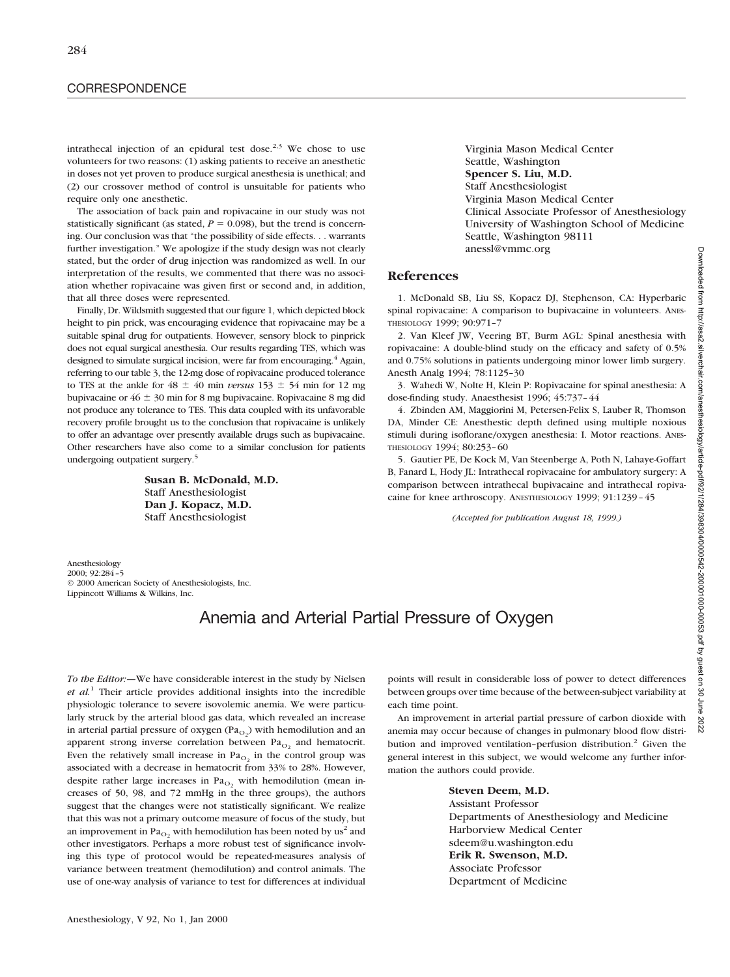intrathecal injection of an epidural test dose.<sup>2,3</sup> We chose to use volunteers for two reasons: (1) asking patients to receive an anesthetic in doses not yet proven to produce surgical anesthesia is unethical; and (2) our crossover method of control is unsuitable for patients who require only one anesthetic.

The association of back pain and ropivacaine in our study was not statistically significant (as stated,  $P = 0.098$ ), but the trend is concerning. Our conclusion was that "the possibility of side effects. . . warrants further investigation." We apologize if the study design was not clearly stated, but the order of drug injection was randomized as well. In our interpretation of the results, we commented that there was no association whether ropivacaine was given first or second and, in addition, that all three doses were represented.

Finally, Dr. Wildsmith suggested that our figure 1, which depicted block height to pin prick, was encouraging evidence that ropivacaine may be a suitable spinal drug for outpatients. However, sensory block to pinprick does not equal surgical anesthesia. Our results regarding TES, which was designed to simulate surgical incision, were far from encouraging.<sup>4</sup> Again, referring to our table 3, the 12-mg dose of ropivacaine produced tolerance to TES at the ankle for  $48 \pm 40$  min *versus*  $153 \pm 54$  min for 12 mg bupivacaine or  $46 \pm 30$  min for 8 mg bupivacaine. Ropivacaine 8 mg did not produce any tolerance to TES. This data coupled with its unfavorable recovery profile brought us to the conclusion that ropivacaine is unlikely to offer an advantage over presently available drugs such as bupivacaine. Other researchers have also come to a similar conclusion for patients undergoing outpatient surgery.5

> **Susan B. McDonald, M.D.** Staff Anesthesiologist **Dan J. Kopacz, M.D.** Staff Anesthesiologist

Virginia Mason Medical Center Seattle, Washington **Spencer S. Liu, M.D.** Staff Anesthesiologist Virginia Mason Medical Center Clinical Associate Professor of Anesthesiology University of Washington School of Medicine Seattle, Washington 98111 anessl@vmmc.org

### **References**

1. McDonald SB, Liu SS, Kopacz DJ, Stephenson, CA: Hyperbaric spinal ropivacaine: A comparison to bupivacaine in volunteers. ANES-THESIOLOGY 1999; 90:971–7

2. Van Kleef JW, Veering BT, Burm AGL: Spinal anesthesia with ropivacaine: A double-blind study on the efficacy and safety of 0.5% and 0.75% solutions in patients undergoing minor lower limb surgery. Anesth Analg 1994; 78:1125–30

3. Wahedi W, Nolte H, Klein P: Ropivacaine for spinal anesthesia: A dose-finding study. Anaesthesist 1996; 45:737–44

4. Zbinden AM, Maggiorini M, Petersen-Felix S, Lauber R, Thomson DA, Minder CE: Anesthestic depth defined using multiple noxious stimuli during isoflorane/oxygen anesthesia: I. Motor reactions. ANES-THESIOLOGY 1994; 80:253–60

5. Gautier PE, De Kock M, Van Steenberge A, Poth N, Lahaye-Goffart B, Fanard L, Hody JL: Intrathecal ropivacaine for ambulatory surgery: A comparison between intrathecal bupivacaine and intrathecal ropivacaine for knee arthroscopy. ANESTHESIOLOGY 1999; 91:1239–45

*(Accepted for publication August 18, 1999.)*

Anesthesiology 2000; 92:284–5 © 2000 American Society of Anesthesiologists, Inc. Lippincott Williams & Wilkins, Inc.

# Anemia and Arterial Partial Pressure of Oxygen

*To the Editor:—*We have considerable interest in the study by Nielsen *et al.*<sup>1</sup> Their article provides additional insights into the incredible physiologic tolerance to severe isovolemic anemia. We were particularly struck by the arterial blood gas data, which revealed an increase in arterial partial pressure of oxygen ( $Pa_{O_2}$ ) with hemodilution and an apparent strong inverse correlation between  $Pa<sub>O2</sub>$  and hematocrit. Even the relatively small increase in  $Pa<sub>O2</sub>$  in the control group was associated with a decrease in hematocrit from 33% to 28%. However, despite rather large increases in  $Pa<sub>O<sub>2</sub></sub>$  with hemodilution (mean increases of 50, 98, and 72 mmHg in the three groups), the authors suggest that the changes were not statistically significant. We realize that this was not a primary outcome measure of focus of the study, but an improvement in  $Pa<sub>O2</sub>$  with hemodilution has been noted by us<sup>2</sup> and other investigators. Perhaps a more robust test of significance involving this type of protocol would be repeated-measures analysis of variance between treatment (hemodilution) and control animals. The use of one-way analysis of variance to test for differences at individual

points will result in considerable loss of power to detect differences between groups over time because of the between-subject variability at each time point.

An improvement in arterial partial pressure of carbon dioxide with anemia may occur because of changes in pulmonary blood flow distribution and improved ventilation-perfusion distribution.<sup>2</sup> Given the general interest in this subject, we would welcome any further information the authors could provide.

> **Steven Deem, M.D.** Assistant Professor Departments of Anesthesiology and Medicine Harborview Medical Center sdeem@u.washington.edu **Erik R. Swenson, M.D.** Associate Professor Department of Medicine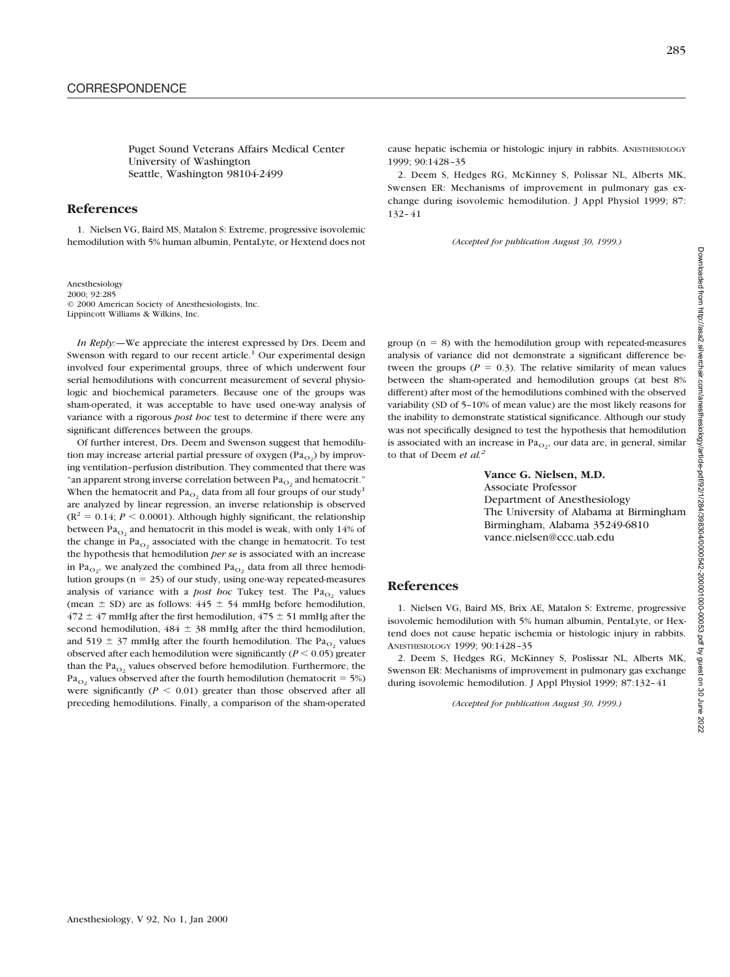Puget Sound Veterans Affairs Medical Center University of Washington Seattle, Washington 98104-2499

# **References**

1. Nielsen VG, Baird MS, Matalon S: Extreme, progressive isovolemic hemodilution with 5% human albumin, PentaLyte, or Hextend does not

Anesthesiology 2000; 92:285 © 2000 American Society of Anesthesiologists, Inc. Lippincott Williams & Wilkins, Inc.

*In Reply:—*We appreciate the interest expressed by Drs. Deem and Swenson with regard to our recent article.<sup>1</sup> Our experimental design involved four experimental groups, three of which underwent four serial hemodilutions with concurrent measurement of several physiologic and biochemical parameters. Because one of the groups was sham-operated, it was acceptable to have used one-way analysis of variance with a rigorous *post hoc* test to determine if there were any significant differences between the groups.

Of further interest, Drs. Deem and Swenson suggest that hemodilution may increase arterial partial pressure of oxygen  $(Pa_{O_2})$  by improving ventilation–perfusion distribution. They commented that there was "an apparent strong inverse correlation between  $Pa<sub>O2</sub>$  and hematocrit." When the hematocrit and Pa<sub>O2</sub> data from all four groups of our study<sup>1</sup> are analyzed by linear regression, an inverse relationship is observed  $(R^2 = 0.14; P < 0.0001)$ . Although highly significant, the relationship between  $Pa_{O_2}$  and hematocrit in this model is weak, with only 14% of the change in  $Pa<sub>O2</sub>$  associated with the change in hematocrit. To test the hypothesis that hemodilution *per se* is associated with an increase in Pa<sub>O<sub>2</sub></sub>, we analyzed the combined Pa<sub>O<sub>2</sub></sub> data from all three hemodilution groups ( $n = 25$ ) of our study, using one-way repeated-measures analysis of variance with a *post hoc* Tukey test. The  $Pa<sub>OO</sub>$  values (mean  $\pm$  SD) are as follows:  $445 \pm 54$  mmHg before hemodilution,  $472 \pm 47$  mmHg after the first hemodilution,  $475 \pm 51$  mmHg after the second hemodilution,  $484 \pm 38$  mmHg after the third hemodilution, and 519  $\pm$  37 mmHg after the fourth hemodilution. The Pa<sub>O2</sub> values observed after each hemodilution were significantly ( $P < 0.05$ ) greater than the  $Pa<sub>O2</sub>$  values observed before hemodilution. Furthermore, the  $Pa<sub>O</sub>$ , values observed after the fourth hemodilution (hematocrit = 5%) were significantly  $(P < 0.01)$  greater than those observed after all preceding hemodilutions. Finally, a comparison of the sham-operated cause hepatic ischemia or histologic injury in rabbits. ANESTHESIOLOGY 1999; 90:1428–35

2. Deem S, Hedges RG, McKinney S, Polissar NL, Alberts MK, Swensen ER: Mechanisms of improvement in pulmonary gas exchange during isovolemic hemodilution. J Appl Physiol 1999; 87: 132–41

*(Accepted for publication August 30, 1999.)*

group ( $n = 8$ ) with the hemodilution group with repeated-measures analysis of variance did not demonstrate a significant difference between the groups  $(P = 0.3)$ . The relative similarity of mean values between the sham-operated and hemodilution groups (at best 8% different) after most of the hemodilutions combined with the observed variability (SD of 5–10% of mean value) are the most likely reasons for the inability to demonstrate statistical significance. Although our study was not specifically designed to test the hypothesis that hemodilution is associated with an increase in  $Pa<sub>O2</sub>$ , our data are, in general, similar to that of Deem *et al.2*

> **Vance G. Nielsen, M.D.** Associate Professor Department of Anesthesiology The University of Alabama at Birmingham Birmingham, Alabama 35249-6810 vance.nielsen@ccc.uab.edu

## **References**

1. Nielsen VG, Baird MS, Brix AE, Matalon S: Extreme, progressive isovolemic hemodilution with 5% human albumin, PentaLyte, or Hextend does not cause hepatic ischemia or histologic injury in rabbits. ANESTHESIOLOGY 1999; 90:1428–35

2. Deem S, Hedges RG, McKinney S, Poslissar NL, Alberts MK, Swenson ER: Mechanisms of improvement in pulmonary gas exchange during isovolemic hemodilution. J Appl Physiol 1999; 87:132–41

*(Accepted for publication August 30, 1999.)*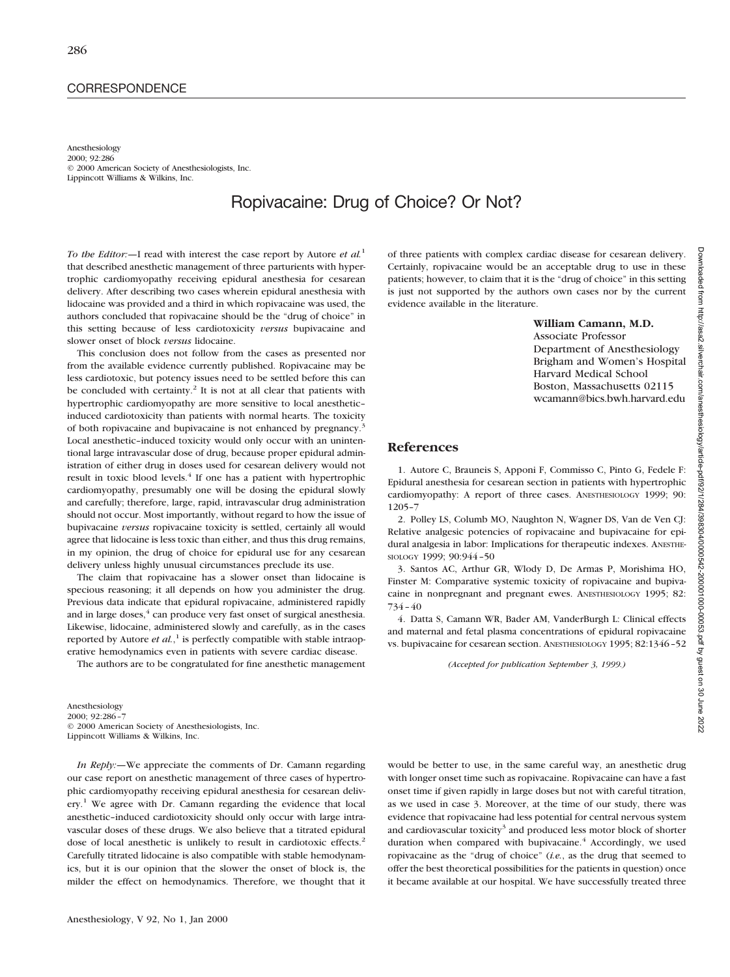Anesthesiology 2000; 92:286 © 2000 American Society of Anesthesiologists, Inc. Lippincott Williams & Wilkins, Inc.

# Ropivacaine: Drug of Choice? Or Not?

*To the Editor:—*I read with interest the case report by Autore *et al.*<sup>1</sup> that described anesthetic management of three parturients with hypertrophic cardiomyopathy receiving epidural anesthesia for cesarean delivery. After describing two cases wherein epidural anesthesia with lidocaine was provided and a third in which ropivacaine was used, the authors concluded that ropivacaine should be the "drug of choice" in this setting because of less cardiotoxicity *versus* bupivacaine and slower onset of block *versus* lidocaine.

This conclusion does not follow from the cases as presented nor from the available evidence currently published. Ropivacaine may be less cardiotoxic, but potency issues need to be settled before this can be concluded with certainty.<sup>2</sup> It is not at all clear that patients with hypertrophic cardiomyopathy are more sensitive to local anesthetic– induced cardiotoxicity than patients with normal hearts. The toxicity of both ropivacaine and bupivacaine is not enhanced by pregnancy.<sup>3</sup> Local anesthetic–induced toxicity would only occur with an unintentional large intravascular dose of drug, because proper epidural administration of either drug in doses used for cesarean delivery would not result in toxic blood levels.<sup>4</sup> If one has a patient with hypertrophic cardiomyopathy, presumably one will be dosing the epidural slowly and carefully; therefore, large, rapid, intravascular drug administration should not occur. Most importantly, without regard to how the issue of bupivacaine *versus* ropivacaine toxicity is settled, certainly all would agree that lidocaine is less toxic than either, and thus this drug remains, in my opinion, the drug of choice for epidural use for any cesarean delivery unless highly unusual circumstances preclude its use.

The claim that ropivacaine has a slower onset than lidocaine is specious reasoning; it all depends on how you administer the drug. Previous data indicate that epidural ropivacaine, administered rapidly and in large doses,<sup>4</sup> can produce very fast onset of surgical anesthesia. Likewise, lidocaine, administered slowly and carefully, as in the cases reported by Autore *et al.*, <sup>1</sup> is perfectly compatible with stable intraoperative hemodynamics even in patients with severe cardiac disease.

The authors are to be congratulated for fine anesthetic management

Anesthesiology 2000; 92:286–7 © 2000 American Society of Anesthesiologists, Inc. Lippincott Williams & Wilkins, Inc.

*In Reply:—*We appreciate the comments of Dr. Camann regarding our case report on anesthetic management of three cases of hypertrophic cardiomyopathy receiving epidural anesthesia for cesarean delivery.1 We agree with Dr. Camann regarding the evidence that local anesthetic–induced cardiotoxicity should only occur with large intravascular doses of these drugs. We also believe that a titrated epidural dose of local anesthetic is unlikely to result in cardiotoxic effects.<sup>2</sup> Carefully titrated lidocaine is also compatible with stable hemodynamics, but it is our opinion that the slower the onset of block is, the milder the effect on hemodynamics. Therefore, we thought that it

of three patients with complex cardiac disease for cesarean delivery. Certainly, ropivacaine would be an acceptable drug to use in these patients; however, to claim that it is the "drug of choice" in this setting is just not supported by the authors own cases nor by the current evidence available in the literature.

#### **William Camann, M.D.**

Associate Professor Department of Anesthesiology Brigham and Women's Hospital Harvard Medical School Boston, Massachusetts 02115 wcamann@bics.bwh.harvard.edu

### **References**

1. Autore C, Brauneis S, Apponi F, Commisso C, Pinto G, Fedele F: Epidural anesthesia for cesarean section in patients with hypertrophic cardiomyopathy: A report of three cases. ANESTHESIOLOGY 1999; 90: 1205–7

2. Polley LS, Columb MO, Naughton N, Wagner DS, Van de Ven CJ: Relative analgesic potencies of ropivacaine and bupivacaine for epidural analgesia in labor: Implications for therapeutic indexes. ANESTHE-SIOLOGY 1999; 90:944–50

3. Santos AC, Arthur GR, Wlody D, De Armas P, Morishima HO, Finster M: Comparative systemic toxicity of ropivacaine and bupivacaine in nonpregnant and pregnant ewes. ANESTHESIOLOGY 1995; 82: 734–40

4. Datta S, Camann WR, Bader AM, VanderBurgh L: Clinical effects and maternal and fetal plasma concentrations of epidural ropivacaine vs. bupivacaine for cesarean section. ANESTHESIOLOGY 1995; 82:1346–52

*(Accepted for publication September 3, 1999.)*

would be better to use, in the same careful way, an anesthetic drug with longer onset time such as ropivacaine. Ropivacaine can have a fast onset time if given rapidly in large doses but not with careful titration, as we used in case 3. Moreover, at the time of our study, there was evidence that ropivacaine had less potential for central nervous system and cardiovascular toxicity<sup>3</sup> and produced less motor block of shorter duration when compared with bupivacaine.<sup>4</sup> Accordingly, we used ropivacaine as the "drug of choice" (*i.e.*, as the drug that seemed to offer the best theoretical possibilities for the patients in question) once it became available at our hospital. We have successfully treated three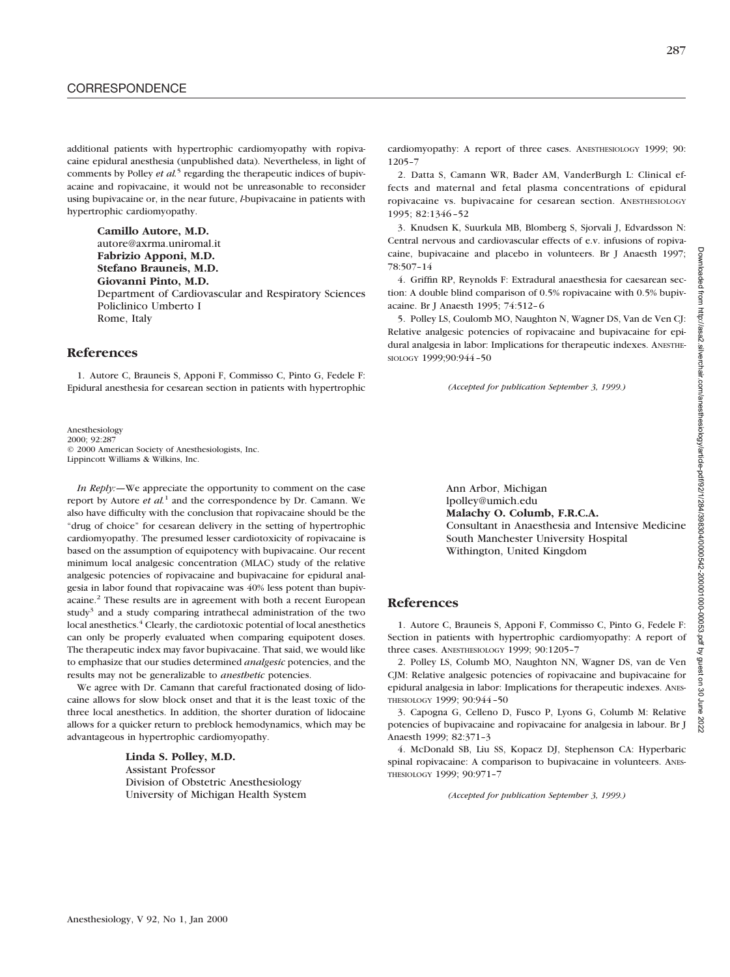additional patients with hypertrophic cardiomyopathy with ropivacaine epidural anesthesia (unpublished data). Nevertheless, in light of comments by Polley *et al.*<sup>5</sup> regarding the therapeutic indices of bupivacaine and ropivacaine, it would not be unreasonable to reconsider using bupivacaine or, in the near future, *l*-bupivacaine in patients with hypertrophic cardiomyopathy.

> **Camillo Autore, M.D.** autore@axrma.uniromal.it **Fabrizio Apponi, M.D. Stefano Brauneis, M.D. Giovanni Pinto, M.D.** Department of Cardiovascular and Respiratory Sciences Policlinico Umberto I Rome, Italy

# **References**

1. Autore C, Brauneis S, Apponi F, Commisso C, Pinto G, Fedele F: Epidural anesthesia for cesarean section in patients with hypertrophic

Anesthesiology 2000; 92:287 © 2000 American Society of Anesthesiologists, Inc. Lippincott Williams & Wilkins, Inc.

*In Reply:—*We appreciate the opportunity to comment on the case report by Autore *et al.*<sup>1</sup> and the correspondence by Dr. Camann. We also have difficulty with the conclusion that ropivacaine should be the "drug of choice" for cesarean delivery in the setting of hypertrophic cardiomyopathy. The presumed lesser cardiotoxicity of ropivacaine is based on the assumption of equipotency with bupivacaine. Our recent minimum local analgesic concentration (MLAC) study of the relative analgesic potencies of ropivacaine and bupivacaine for epidural analgesia in labor found that ropivacaine was 40% less potent than bupivacaine.<sup>2</sup> These results are in agreement with both a recent European study<sup>3</sup> and a study comparing intrathecal administration of the two local anesthetics.<sup>4</sup> Clearly, the cardiotoxic potential of local anesthetics can only be properly evaluated when comparing equipotent doses. The therapeutic index may favor bupivacaine. That said, we would like to emphasize that our studies determined *analgesic* potencies, and the results may not be generalizable to *anesthetic* potencies.

We agree with Dr. Camann that careful fractionated dosing of lidocaine allows for slow block onset and that it is the least toxic of the three local anesthetics. In addition, the shorter duration of lidocaine allows for a quicker return to preblock hemodynamics, which may be advantageous in hypertrophic cardiomyopathy.

> **Linda S. Polley, M.D.** Assistant Professor Division of Obstetric Anesthesiology University of Michigan Health System

cardiomyopathy: A report of three cases. ANESTHESIOLOGY 1999; 90: 1205–7

2. Datta S, Camann WR, Bader AM, VanderBurgh L: Clinical effects and maternal and fetal plasma concentrations of epidural ropivacaine vs. bupivacaine for cesarean section. ANESTHESIOLOGY 1995; 82:1346–52

3. Knudsen K, Suurkula MB, Blomberg S, Sjorvali J, Edvardsson N: Central nervous and cardiovascular effects of e.v. infusions of ropivacaine, bupivacaine and placebo in volunteers. Br J Anaesth 1997; 78:507–14

4. Griffin RP, Reynolds F: Extradural anaesthesia for caesarean section: A double blind comparison of 0.5% ropivacaine with 0.5% bupivacaine. Br J Anaesth 1995; 74:512–6

5. Polley LS, Coulomb MO, Naughton N, Wagner DS, Van de Ven CJ: Relative analgesic potencies of ropivacaine and bupivacaine for epidural analgesia in labor: Implications for therapeutic indexes. ANESTHE-SIOLOGY 1999;90:944–50

*(Accepted for publication September 3, 1999.)*

Ann Arbor, Michigan lpolley@umich.edu **Malachy O. Columb, F.R.C.A.** Consultant in Anaesthesia and Intensive Medicine South Manchester University Hospital Withington, United Kingdom

### **References**

1. Autore C, Brauneis S, Apponi F, Commisso C, Pinto G, Fedele F: Section in patients with hypertrophic cardiomyopathy: A report of three cases. ANESTHESIOLOGY 1999; 90:1205–7

2. Polley LS, Columb MO, Naughton NN, Wagner DS, van de Ven CJM: Relative analgesic potencies of ropivacaine and bupivacaine for epidural analgesia in labor: Implications for therapeutic indexes. ANES-THESIOLOGY 1999; 90:944–50

3. Capogna G, Celleno D, Fusco P, Lyons G, Columb M: Relative potencies of bupivacaine and ropivacaine for analgesia in labour. Br J Anaesth 1999; 82:371–3

4. McDonald SB, Liu SS, Kopacz DJ, Stephenson CA: Hyperbaric spinal ropivacaine: A comparison to bupivacaine in volunteers. ANES-THESIOLOGY 1999; 90:971–7

*(Accepted for publication September 3, 1999.)*

287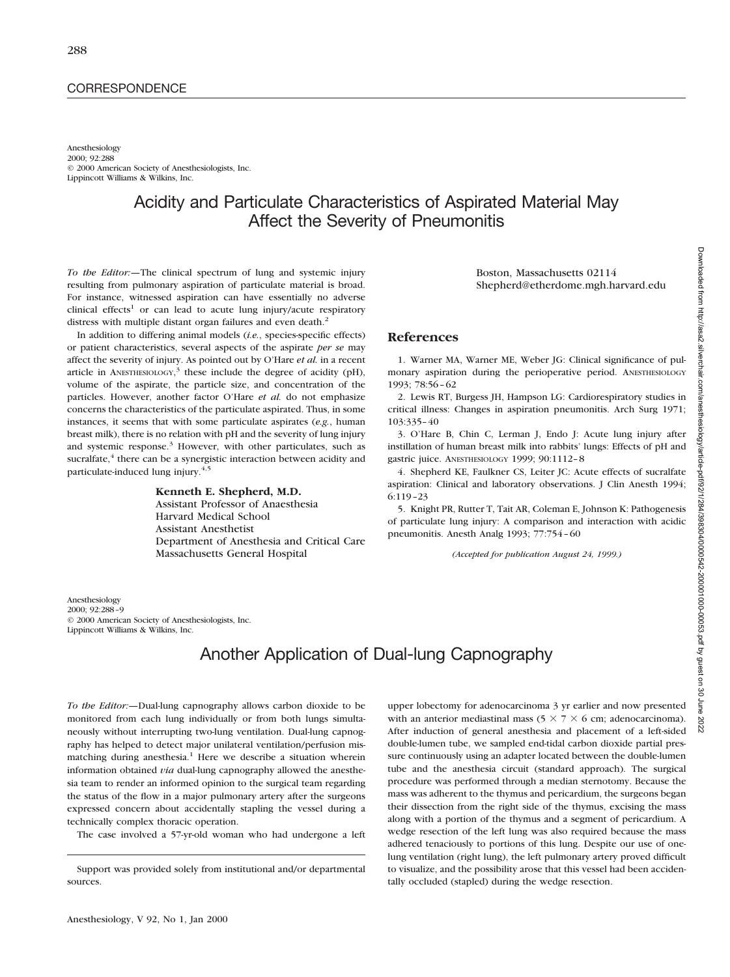Anesthesiology 2000; 92:288 © 2000 American Society of Anesthesiologists, Inc. Lippincott Williams & Wilkins, Inc.

# Acidity and Particulate Characteristics of Aspirated Material May Affect the Severity of Pneumonitis

*To the Editor:—*The clinical spectrum of lung and systemic injury resulting from pulmonary aspiration of particulate material is broad. For instance, witnessed aspiration can have essentially no adverse clinical effects<sup>1</sup> or can lead to acute lung injury/acute respiratory distress with multiple distant organ failures and even death.<sup>2</sup>

In addition to differing animal models (*i.e.*, species-specific effects) or patient characteristics, several aspects of the aspirate *per se* may affect the severity of injury. As pointed out by O'Hare *et al.* in a recent article in ANESTHESIOLOGY, $3$  these include the degree of acidity (pH), volume of the aspirate, the particle size, and concentration of the particles. However, another factor O'Hare *et al.* do not emphasize concerns the characteristics of the particulate aspirated. Thus, in some instances, it seems that with some particulate aspirates (*e.g.*, human breast milk), there is no relation with pH and the severity of lung injury and systemic response.<sup>3</sup> However, with other particulates, such as sucralfate, $4$  there can be a synergistic interaction between acidity and particulate-induced lung injury.<sup>4,5</sup>

#### **Kenneth E. Shepherd, M.D.**

Assistant Professor of Anaesthesia Harvard Medical School Assistant Anesthetist Department of Anesthesia and Critical Care Massachusetts General Hospital

Boston, Massachusetts 02114 Shepherd@etherdome.mgh.harvard.edu

### **References**

1. Warner MA, Warner ME, Weber JG: Clinical significance of pulmonary aspiration during the perioperative period. ANESTHESIOLOGY 1993; 78:56–62

2. Lewis RT, Burgess JH, Hampson LG: Cardiorespiratory studies in critical illness: Changes in aspiration pneumonitis. Arch Surg 1971; 103:335–40

3. O'Hare B, Chin C, Lerman J, Endo J: Acute lung injury after instillation of human breast milk into rabbits' lungs: Effects of pH and gastric juice. ANESTHESIOLOGY 1999; 90:1112–8

4. Shepherd KE, Faulkner CS, Leiter JC: Acute effects of sucralfate aspiration: Clinical and laboratory observations. J Clin Anesth 1994; 6:119–23

5. Knight PR, Rutter T, Tait AR, Coleman E, Johnson K: Pathogenesis of particulate lung injury: A comparison and interaction with acidic pneumonitis. Anesth Analg 1993; 77:754–60

*(Accepted for publication August 24, 1999.)*

Anesthesiology 2000; 92:288–9 © 2000 American Society of Anesthesiologists, Inc. Lippincott Williams & Wilkins, Inc.

# Another Application of Dual-lung Capnography

*To the Editor:—*Dual-lung capnography allows carbon dioxide to be monitored from each lung individually or from both lungs simultaneously without interrupting two-lung ventilation. Dual-lung capnography has helped to detect major unilateral ventilation/perfusion mismatching during anesthesia.<sup>1</sup> Here we describe a situation wherein information obtained *via* dual-lung capnography allowed the anesthesia team to render an informed opinion to the surgical team regarding the status of the flow in a major pulmonary artery after the surgeons expressed concern about accidentally stapling the vessel during a technically complex thoracic operation.

The case involved a 57-yr-old woman who had undergone a left

Anesthesiology, V 92, No 1, Jan 2000

upper lobectomy for adenocarcinoma 3 yr earlier and now presented with an anterior mediastinal mass  $(5 \times 7 \times 6$  cm; adenocarcinoma). After induction of general anesthesia and placement of a left-sided double-lumen tube, we sampled end-tidal carbon dioxide partial pressure continuously using an adapter located between the double-lumen tube and the anesthesia circuit (standard approach). The surgical procedure was performed through a median sternotomy. Because the mass was adherent to the thymus and pericardium, the surgeons began their dissection from the right side of the thymus, excising the mass along with a portion of the thymus and a segment of pericardium. A wedge resection of the left lung was also required because the mass adhered tenaciously to portions of this lung. Despite our use of onelung ventilation (right lung), the left pulmonary artery proved difficult to visualize, and the possibility arose that this vessel had been accidentally occluded (stapled) during the wedge resection.

Support was provided solely from institutional and/or departmental sources.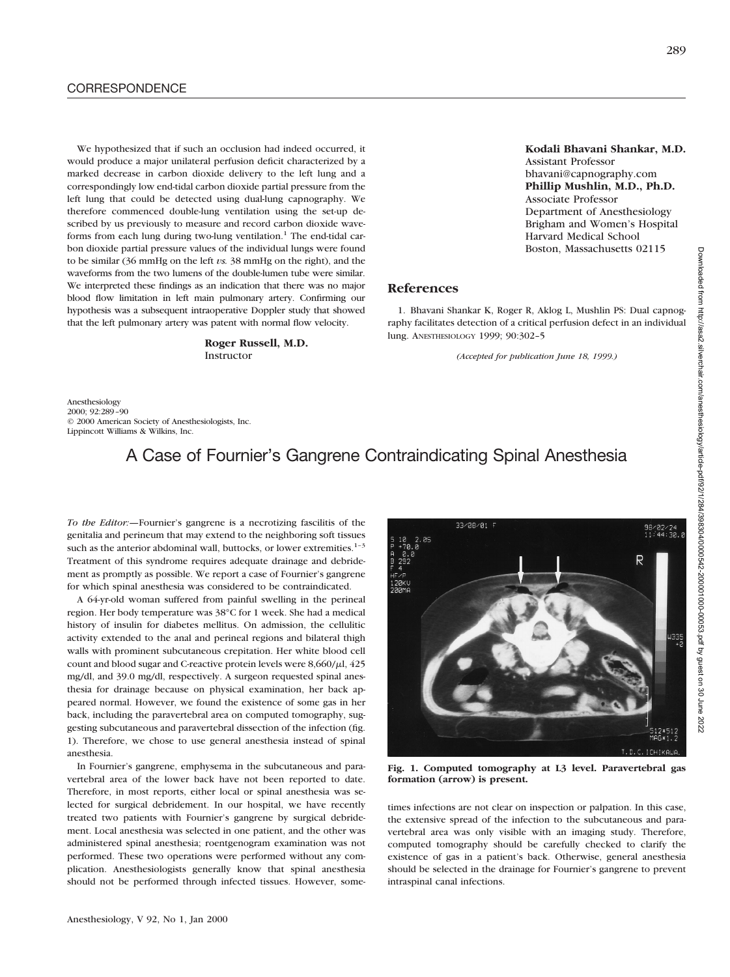We hypothesized that if such an occlusion had indeed occurred, it would produce a major unilateral perfusion deficit characterized by a marked decrease in carbon dioxide delivery to the left lung and a correspondingly low end-tidal carbon dioxide partial pressure from the left lung that could be detected using dual-lung capnography. We therefore commenced double-lung ventilation using the set-up described by us previously to measure and record carbon dioxide waveforms from each lung during two-lung ventilation.<sup>1</sup> The end-tidal carbon dioxide partial pressure values of the individual lungs were found to be similar (36 mmHg on the left *vs.* 38 mmHg on the right), and the waveforms from the two lumens of the double-lumen tube were similar. We interpreted these findings as an indication that there was no major blood flow limitation in left main pulmonary artery. Confirming our hypothesis was a subsequent intraoperative Doppler study that showed that the left pulmonary artery was patent with normal flow velocity.

> **Roger Russell, M.D.** Instructor

## **Kodali Bhavani Shankar, M.D.** Assistant Professor bhavani@capnography.com **Phillip Mushlin, M.D., Ph.D.** Associate Professor

Department of Anesthesiology Brigham and Women's Hospital Harvard Medical School Boston, Massachusetts 02115

### **References**

18 / 88 / 81

1. Bhavani Shankar K, Roger R, Aklog L, Mushlin PS: Dual capnography facilitates detection of a critical perfusion defect in an individual lung. ANESTHESIOLOGY 1999; 90:302–5

*(Accepted for publication June 18, 1999.)*

Anesthesiology 2000; 92:289–90 © 2000 American Society of Anesthesiologists, Inc. Lippincott Williams & Wilkins, Inc.

# A Case of Fournier's Gangrene Contraindicating Spinal Anesthesia

*To the Editor:—*Fournier's gangrene is a necrotizing fascilitis of the genitalia and perineum that may extend to the neighboring soft tissues such as the anterior abdominal wall, buttocks, or lower extremities. $1-3$ Treatment of this syndrome requires adequate drainage and debridement as promptly as possible. We report a case of Fournier's gangrene for which spinal anesthesia was considered to be contraindicated.

A 64-yr-old woman suffered from painful swelling in the perineal region. Her body temperature was 38°C for 1 week. She had a medical history of insulin for diabetes mellitus. On admission, the cellulitic activity extended to the anal and perineal regions and bilateral thigh walls with prominent subcutaneous crepitation. Her white blood cell count and blood sugar and C-reactive protein levels were  $8,660/\mu$ l, 425 mg/dl, and 39.0 mg/dl, respectively. A surgeon requested spinal anesthesia for drainage because on physical examination, her back appeared normal. However, we found the existence of some gas in her back, including the paravertebral area on computed tomography, suggesting subcutaneous and paravertebral dissection of the infection (fig. 1). Therefore, we chose to use general anesthesia instead of spinal anesthesia.

In Fournier's gangrene, emphysema in the subcutaneous and paravertebral area of the lower back have not been reported to date. Therefore, in most reports, either local or spinal anesthesia was selected for surgical debridement. In our hospital, we have recently treated two patients with Fournier's gangrene by surgical debridement. Local anesthesia was selected in one patient, and the other was administered spinal anesthesia; roentgenogram examination was not performed. These two operations were performed without any complication. Anesthesiologists generally know that spinal anesthesia should not be performed through infected tissues. However, some-



times infections are not clear on inspection or palpation. In this case, the extensive spread of the infection to the subcutaneous and paravertebral area was only visible with an imaging study. Therefore, computed tomography should be carefully checked to clarify the existence of gas in a patient's back. Otherwise, general anesthesia should be selected in the drainage for Fournier's gangrene to prevent

intraspinal canal infections.

T.D.C. ICHIKAWA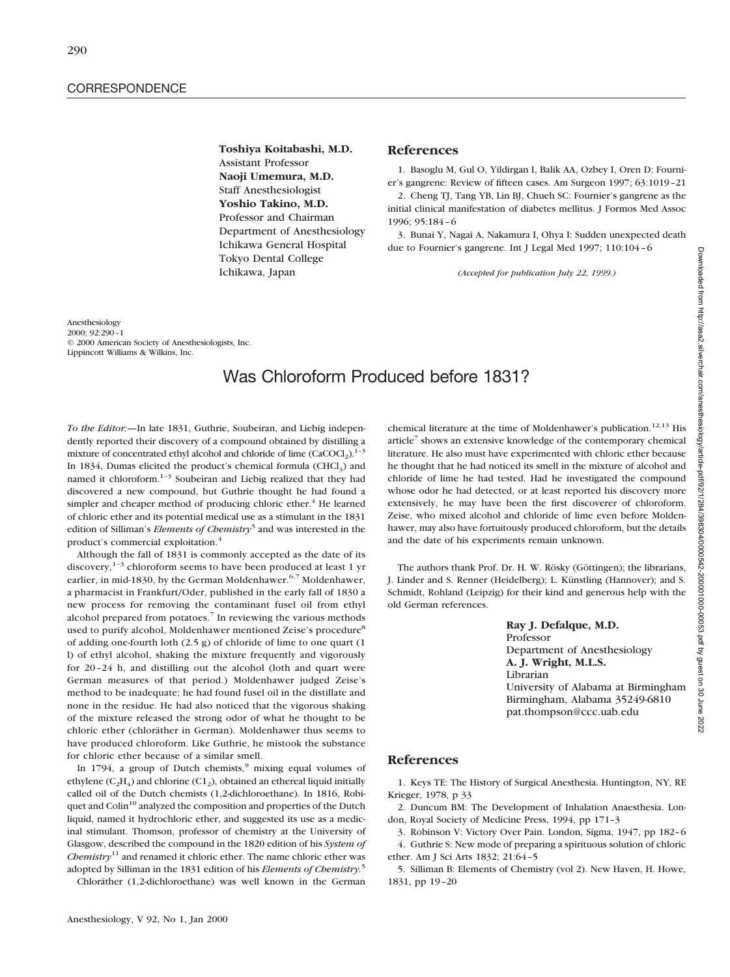**Toshiya Koitabashi, M.D.** Assistant Professor **Naoji Umemura, M.D.** Staff Anesthesiologist **Yoshio Takino, M.D.** Professor and Chairman Department of Anesthesiology Ichikawa General Hospital Tokyo Dental College Ichikawa, Japan

#### **References**

1. Basoglu M, Gul O, Yildirgan I, Balik AA, Ozbey I, Oren D: Fournier's gangrene: Review of fifteen cases. Am Surgeon 1997; 63:1019–21

2. Cheng TJ, Tang YB, Lin BJ, Chueh SC: Fournier's gangrene as the initial clinical manifestation of diabetes mellitus. J Formos Med Assoc 1996; 95:184–6

3. Bunai Y, Nagai A, Nakamura I, Ohya I: Sudden unexpected death due to Fournier's gangrene. Int J Legal Med 1997; 110:104–6

*(Accepted for publication July 22, 1999.)*

Anesthesiology 2000; 92:290–1 © 2000 American Society of Anesthesiologists, Inc. Lippincott Williams & Wilkins, Inc.

# Was Chloroform Produced before 1831?

*To the Editor:—*In late 1831, Guthrie, Soubeiran, and Liebig independently reported their discovery of a compound obtained by distilling a mixture of concentrated ethyl alcohol and chloride of lime  $(CaCOCl<sub>2</sub>)$ .<sup>1–3</sup> In 1834, Dumas elicited the product's chemical formula  $(CHCl<sub>3</sub>)$  and named it chloroform.1–3 Soubeiran and Liebig realized that they had discovered a new compound, but Guthrie thought he had found a simpler and cheaper method of producing chloric ether.<sup>4</sup> He learned of chloric ether and its potential medical use as a stimulant in the 1831 edition of Silliman's *Elements of Chemistry*<sup>5</sup> and was interested in the product's commercial exploitation.4

Although the fall of 1831 is commonly accepted as the date of its discovery, $1-3$  chloroform seems to have been produced at least 1 yr earlier, in mid-1830, by the German Moldenhawer.<sup>6,7</sup> Moldenhawer, a pharmacist in Frankfurt/Oder, published in the early fall of 1830 a new process for removing the contaminant fusel oil from ethyl alcohol prepared from potatoes.<sup>7</sup> In reviewing the various methods used to purify alcohol, Moldenhawer mentioned Zeise's procedure<sup>8</sup> of adding one-fourth loth (2.5 g) of chloride of lime to one quart (1 l) of ethyl alcohol, shaking the mixture frequently and vigorously for 20–24 h, and distilling out the alcohol (loth and quart were German measures of that period.) Moldenhawer judged Zeise's method to be inadequate; he had found fusel oil in the distillate and none in the residue. He had also noticed that the vigorous shaking of the mixture released the strong odor of what he thought to be chloric ether (chloräther in German). Moldenhawer thus seems to have produced chloroform. Like Guthrie, he mistook the substance for chloric ether because of a similar smell.

In  $1794$ , a group of Dutch chemists,<sup>9</sup> mixing equal volumes of ethylene  $(C_2H_4)$  and chlorine  $(C_1)_2$ , obtained an ethereal liquid initially called oil of the Dutch chemists (1,2-dichloroethane). In 1816, Robiquet and Colin<sup>10</sup> analyzed the composition and properties of the Dutch liquid, named it hydrochloric ether, and suggested its use as a medicinal stimulant. Thomson, professor of chemistry at the University of Glasgow, described the compound in the 1820 edition of his *System of Chemistry*<sup>11</sup> and renamed it chloric ether. The name chloric ether was adopted by Silliman in the 1831 edition of his *Elements of Chemistry.*<sup>5</sup>

Chloräther (1,2-dichloroethane) was well known in the German

chemical literature at the time of Moldenhawer's publication.<sup>12,13</sup> His article<sup>7</sup> shows an extensive knowledge of the contemporary chemical literature. He also must have experimented with chloric ether because he thought that he had noticed its smell in the mixture of alcohol and chloride of lime he had tested. Had he investigated the compound whose odor he had detected, or at least reported his discovery more extensively, he may have been the first discoverer of chloroform. Zeise, who mixed alcohol and chloride of lime even before Moldenhawer, may also have fortuitously produced chloroform, but the details and the date of his experiments remain unknown.

The authors thank Prof. Dr. H. W. Rösky (Göttingen); the librarians, J. Linder and S. Renner (Heidelberg); L. Künstling (Hannover); and S. Schmidt, Rohland (Leipzig) for their kind and generous help with the old German references.

> **Ray J. Defalque, M.D.** Professor Department of Anesthesiology **A. J. Wright, M.L.S.** Librarian University of Alabama at Birmingham Birmingham, Alabama 35249-6810 pat.thompson@ccc.uab.edu

# **References**

1. Keys TE: The History of Surgical Anesthesia. Huntington, NY, RE Krieger, 1978, p 33

2. Duncum BM: The Development of Inhalation Anaesthesia. London, Royal Society of Medicine Press, 1994, pp 171–3

3. Robinson V: Victory Over Pain. London, Sigma, 1947, pp 182–6 4. Guthrie S: New mode of preparing a spirituous solution of chloric

ether. Am J Sci Arts 1832; 21:64–5

5. Silliman B: Elements of Chemistry (vol 2). New Haven, H. Howe, 1831, pp 19–20